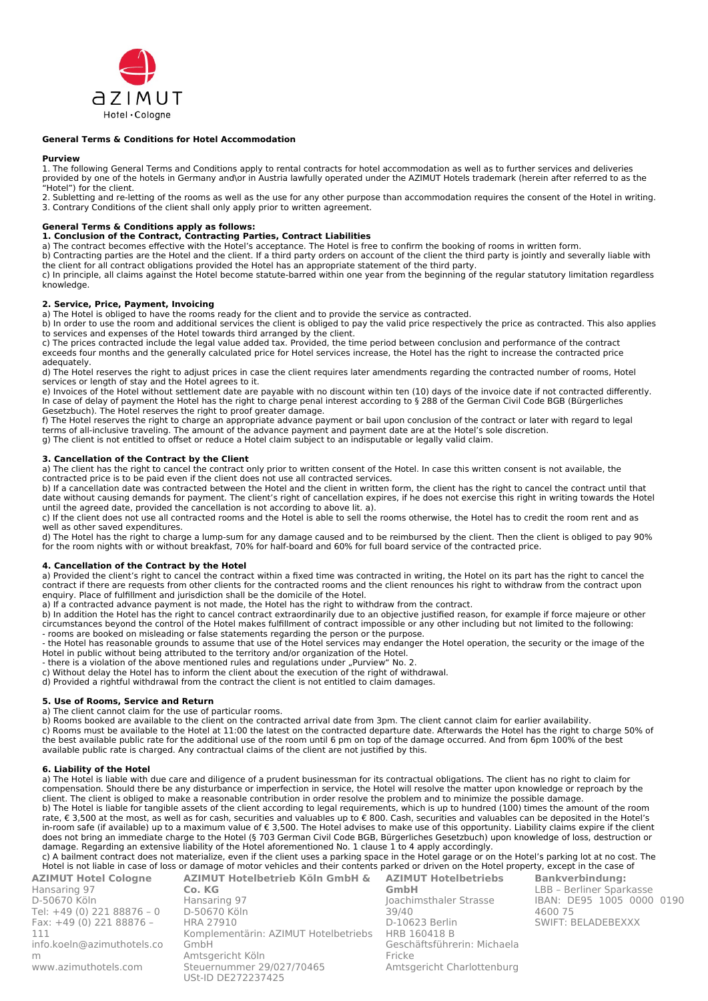

#### **General Terms & Conditions for Hotel Accommodation**

#### **Purview**

1. The following General Terms and Conditions apply to rental contracts for hotel accommodation as well as to further services and deliveries provided by one of the hotels in Germany and\or in Austria lawfully operated under the AZIMUT Hotels trademark (herein after referred to as the "Hotel") for the client.

2. Subletting and re-letting of the rooms as well as the use for any other purpose than accommodation requires the consent of the Hotel in writing. 3. Contrary Conditions of the client shall only apply prior to written agreement.

## **General Terms & Conditions apply as follows:**

# **1. Conclusion of the Contract, Contracting Parties, Contract Liabilities**

a) The contract becomes effective with the Hotel's acceptance. The Hotel is free to confirm the booking of rooms in written form.

b) Contracting parties are the Hotel and the client. If a third party orders on account of the client the third party is jointly and severally liable with the client for all contract obligations provided the Hotel has an appropriate statement of the third party.

c) In principle, all claims against the Hotel become statute-barred within one year from the beginning of the regular statutory limitation regardless knowledge

# **2. Service, Price, Payment, Invoicing**

a) The Hotel is obliged to have the rooms ready for the client and to provide the service as contracted.

b) In order to use the room and additional services the client is obliged to pay the valid price respectively the price as contracted. This also applies to services and expenses of the Hotel towards third arranged by the client.

c) The prices contracted include the legal value added tax. Provided, the time period between conclusion and performance of the contract exceeds four months and the generally calculated price for Hotel services increase, the Hotel has the right to increase the contracted price adequately.

d) The Hotel reserves the right to adjust prices in case the client requires later amendments regarding the contracted number of rooms, Hotel services or length of stay and the Hotel agrees to it.

e) Invoices of the Hotel without settlement date are payable with no discount within ten (10) days of the invoice date if not contracted differently. In case of delay of payment the Hotel has the right to charge penal interest according to § 288 of the German Civil Code BGB (Bürgerliches Gesetzbuch). The Hotel reserves the right to proof greater damage.

f) The Hotel reserves the right to charge an appropriate advance payment or bail upon conclusion of the contract or later with regard to legal terms of all-inclusive traveling. The amount of the advance payment and payment date are at the Hotel's sole discretion. g) The client is not entitled to offset or reduce a Hotel claim subject to an indisputable or legally valid claim.

# **3. Cancellation of the Contract by the Client**

a) The client has the right to cancel the contract only prior to written consent of the Hotel. In case this written consent is not available, the contracted price is to be paid even if the client does not use all contracted services.

b) If a cancellation date was contracted between the Hotel and the client in written form, the client has the right to cancel the contract until that date without causing demands for payment. The client's right of cancellation expires, if he does not exercise this right in writing towards the Hotel until the agreed date, provided the cancellation is not according to above lit. a).

c) If the client does not use all contracted rooms and the Hotel is able to sell the rooms otherwise, the Hotel has to credit the room rent and as well as other saved expenditures.

d) The Hotel has the right to charge a lump-sum for any damage caused and to be reimbursed by the client. Then the client is obliged to pay 90% for the room nights with or without breakfast, 70% for half-board and 60% for full board service of the contracted price.

# **4. Cancellation of the Contract by the Hotel**

a) Provided the client's right to cancel the contract within a fixed time was contracted in writing, the Hotel on its part has the right to cancel the contract if there are requests from other clients for the contracted rooms and the client renounces his right to withdraw from the contract upon enquiry. Place of fulfillment and jurisdiction shall be the domicile of the Hotel.

a) If a contracted advance payment is not made, the Hotel has the right to withdraw from the contract.

b) In addition the Hotel has the right to cancel contract extraordinarily due to an objective justified reason, for example if force majeure or other circumstances beyond the control of the Hotel makes fulfillment of contract impossible or any other including but not limited to the following: - rooms are booked on misleading or false statements regarding the person or the purpose.

- the Hotel has reasonable grounds to assume that use of the Hotel services may endanger the Hotel operation, the security or the image of the Hotel in public without being attributed to the territory and/or organization of the Hotel.

- there is a violation of the above mentioned rules and regulations under "Purview" No. 2.

c) Without delay the Hotel has to inform the client about the execution of the right of withdrawal.

d) Provided a rightful withdrawal from the contract the client is not entitled to claim damages.

#### **5. Use of Rooms, Service and Return**

a) The client cannot claim for the use of particular rooms.

b) Rooms booked are available to the client on the contracted arrival date from 3pm. The client cannot claim for earlier availability. c) Rooms must be available to the Hotel at 11:00 the latest on the contracted departure date. Afterwards the Hotel has the right to charge 50% of the best available public rate for the additional use of the room until 6 pm on top of the damage occurred. And from 6pm 100% of the best available public rate is charged. Any contractual claims of the client are not justified by this.

# **6. Liability of the Hotel**

a) The Hotel is liable with due care and diligence of a prudent businessman for its contractual obligations. The client has no right to claim for compensation. Should there be any disturbance or imperfection in service, the Hotel will resolve the matter upon knowledge or reproach by the client. The client is obliged to make a reasonable contribution in order resolve the problem and to minimize the possible damage. b) The Hotel is liable for tangible assets of the client according to legal requirements, which is up to hundred (100) times the amount of the room rate, € 3,500 at the most, as well as for cash, securities and valuables up to € 800. Cash, securities and valuables can be deposited in the Hotel's in-room safe (if available) up to a maximum value of € 3,500. The Hotel advises to make use of this opportunity. Liability claims expire if the client

does not bring an immediate charge to the Hotel (§ 703 German Civil Code BGB, Bürgerliches Gesetzbuch) upon knowledge of loss, destruction or damage. Regarding an extensive liability of the Hotel aforementioned No. 1 clause 1 to 4 apply accordingly.

c) A bailment contract does not materialize, even if the client uses a parking space in the Hotel garage or on the Hotel's parking lot at no cost. The Hotel is not liable in case of loss or damage of motor vehicles and their contents parked or driven on the Hotel property, except in the case of **AZIMUT Hotel Cologne AZIMUT Hotelbetrieb Köln GmbH &**

| Hansaring 97               |
|----------------------------|
| D-50670 Köln               |
| Tel: +49 (0) 221 88876 - 0 |
| Fax: +49 (0) 221 88876 -   |
| 111                        |
| info.koeln@azimuthotels.co |
| m                          |
| www.azimuthotels.com       |
|                            |

**Co. KG** Hansaring 97 D-50670 Köln HRA 27910 Komplementärin: AZIMUT Hotelbetriebs GmbH Amtsgericht Köln Steuernummer 29/027/70465 USt-ID DE272237425

**AZIMUT Hotelbetriebs GmbH** Joachimsthaler Strasse 39/40 D-10623 Berlin HRB 160418 B Geschäftsführerin: Michaela Fricke Amtsgericht Charlottenburg **Bankverbindung:** LBB – Berliner Sparkasse IBAN: DE95 1005 0000 0190 4600 75 SWIFT: BELADEBEXXX